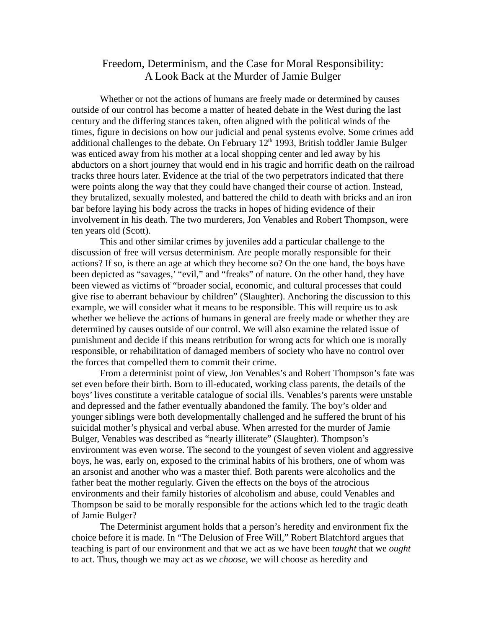## Freedom, Determinism, and the Case for Moral Responsibility: A Look Back at the Murder of Jamie Bulger

Whether or not the actions of humans are freely made or determined by causes outside of our control has become a matter of heated debate in the West during the last century and the differing stances taken, often aligned with the political winds of the times, figure in decisions on how our judicial and penal systems evolve. Some crimes add additional challenges to the debate. On February  $12<sup>th</sup> 1993$ , British toddler Jamie Bulger was enticed away from his mother at a local shopping center and led away by his abductors on a short journey that would end in his tragic and horrific death on the railroad tracks three hours later. Evidence at the trial of the two perpetrators indicated that there were points along the way that they could have changed their course of action. Instead, they brutalized, sexually molested, and battered the child to death with bricks and an iron bar before laying his body across the tracks in hopes of hiding evidence of their involvement in his death. The two murderers, Jon Venables and Robert Thompson, were ten years old (Scott).

This and other similar crimes by juveniles add a particular challenge to the discussion of free will versus determinism. Are people morally responsible for their actions? If so, is there an age at which they become so? On the one hand, the boys have been depicted as "savages,' "evil," and "freaks" of nature. On the other hand, they have been viewed as victims of "broader social, economic, and cultural processes that could give rise to aberrant behaviour by children" (Slaughter). Anchoring the discussion to this example, we will consider what it means to be responsible. This will require us to ask whether we believe the actions of humans in general are freely made or whether they are determined by causes outside of our control. We will also examine the related issue of punishment and decide if this means retribution for wrong acts for which one is morally responsible, or rehabilitation of damaged members of society who have no control over the forces that compelled them to commit their crime.

From a determinist point of view, Jon Venables's and Robert Thompson's fate was set even before their birth. Born to ill-educated, working class parents, the details of the boys' lives constitute a veritable catalogue of social ills. Venables's parents were unstable and depressed and the father eventually abandoned the family. The boy's older and younger siblings were both developmentally challenged and he suffered the brunt of his suicidal mother's physical and verbal abuse. When arrested for the murder of Jamie Bulger, Venables was described as "nearly illiterate" (Slaughter). Thompson's environment was even worse. The second to the youngest of seven violent and aggressive boys, he was, early on, exposed to the criminal habits of his brothers, one of whom was an arsonist and another who was a master thief. Both parents were alcoholics and the father beat the mother regularly. Given the effects on the boys of the atrocious environments and their family histories of alcoholism and abuse, could Venables and Thompson be said to be morally responsible for the actions which led to the tragic death of Jamie Bulger?

The Determinist argument holds that a person's heredity and environment fix the choice before it is made. In "The Delusion of Free Will," Robert Blatchford argues that teaching is part of our environment and that we act as we have been *taught* that we *ought* to act. Thus, though we may act as we *choose*, we will choose as heredity and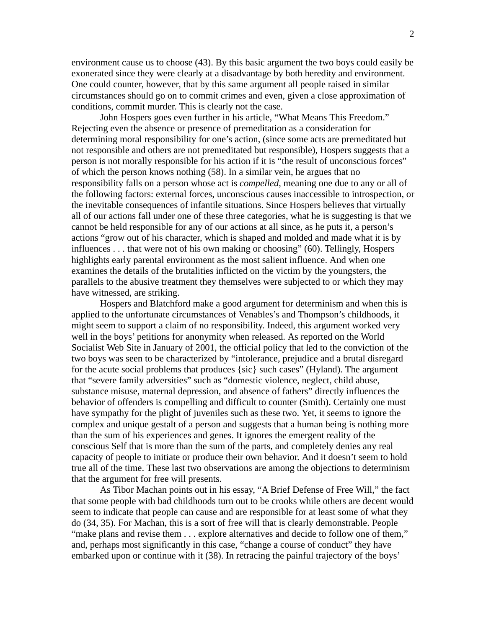environment cause us to choose (43). By this basic argument the two boys could easily be exonerated since they were clearly at a disadvantage by both heredity and environment. One could counter, however, that by this same argument all people raised in similar circumstances should go on to commit crimes and even, given a close approximation of conditions, commit murder. This is clearly not the case.

John Hospers goes even further in his article, "What Means This Freedom." Rejecting even the absence or presence of premeditation as a consideration for determining moral responsibility for one's action, (since some acts are premeditated but not responsible and others are not premeditated but responsible), Hospers suggests that a person is not morally responsible for his action if it is "the result of unconscious forces" of which the person knows nothing (58). In a similar vein, he argues that no responsibility falls on a person whose act is *compelled*, meaning one due to any or all of the following factors: external forces, unconscious causes inaccessible to introspection, or the inevitable consequences of infantile situations. Since Hospers believes that virtually all of our actions fall under one of these three categories, what he is suggesting is that we cannot be held responsible for any of our actions at all since, as he puts it, a person's actions "grow out of his character, which is shaped and molded and made what it is by influences . . . that were not of his own making or choosing" (60). Tellingly, Hospers highlights early parental environment as the most salient influence. And when one examines the details of the brutalities inflicted on the victim by the youngsters, the parallels to the abusive treatment they themselves were subjected to or which they may have witnessed, are striking.

Hospers and Blatchford make a good argument for determinism and when this is applied to the unfortunate circumstances of Venables's and Thompson's childhoods, it might seem to support a claim of no responsibility. Indeed, this argument worked very well in the boys' petitions for anonymity when released. As reported on the World Socialist Web Site in January of 2001, the official policy that led to the conviction of the two boys was seen to be characterized by "intolerance, prejudice and a brutal disregard for the acute social problems that produces {sic} such cases" (Hyland). The argument that "severe family adversities" such as "domestic violence, neglect, child abuse, substance misuse, maternal depression, and absence of fathers" directly influences the behavior of offenders is compelling and difficult to counter (Smith). Certainly one must have sympathy for the plight of juveniles such as these two. Yet, it seems to ignore the complex and unique gestalt of a person and suggests that a human being is nothing more than the sum of his experiences and genes. It ignores the emergent reality of the conscious Self that is more than the sum of the parts, and completely denies any real capacity of people to initiate or produce their own behavior. And it doesn't seem to hold true all of the time. These last two observations are among the objections to determinism that the argument for free will presents.

As Tibor Machan points out in his essay, "A Brief Defense of Free Will," the fact that some people with bad childhoods turn out to be crooks while others are decent would seem to indicate that people can cause and are responsible for at least some of what they do (34, 35). For Machan, this is a sort of free will that is clearly demonstrable. People "make plans and revise them . . . explore alternatives and decide to follow one of them," and, perhaps most significantly in this case, "change a course of conduct" they have embarked upon or continue with it (38). In retracing the painful trajectory of the boys'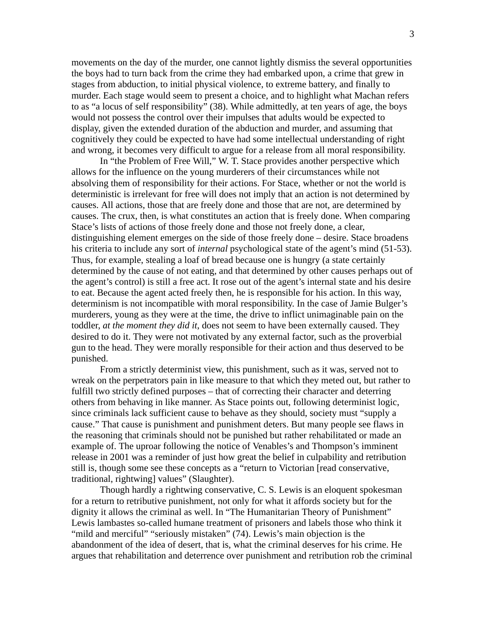movements on the day of the murder, one cannot lightly dismiss the several opportunities the boys had to turn back from the crime they had embarked upon, a crime that grew in stages from abduction, to initial physical violence, to extreme battery, and finally to murder. Each stage would seem to present a choice, and to highlight what Machan refers to as "a locus of self responsibility" (38). While admittedly, at ten years of age, the boys would not possess the control over their impulses that adults would be expected to display, given the extended duration of the abduction and murder, and assuming that cognitively they could be expected to have had some intellectual understanding of right and wrong, it becomes very difficult to argue for a release from all moral responsibility.

In "the Problem of Free Will," W. T. Stace provides another perspective which allows for the influence on the young murderers of their circumstances while not absolving them of responsibility for their actions. For Stace, whether or not the world is deterministic is irrelevant for free will does not imply that an action is not determined by causes. All actions, those that are freely done and those that are not, are determined by causes. The crux, then, is what constitutes an action that is freely done. When comparing Stace's lists of actions of those freely done and those not freely done, a clear, distinguishing element emerges on the side of those freely done – desire. Stace broadens his criteria to include any sort of *internal* psychological state of the agent's mind (51-53). Thus, for example, stealing a loaf of bread because one is hungry (a state certainly determined by the cause of not eating, and that determined by other causes perhaps out of the agent's control) is still a free act. It rose out of the agent's internal state and his desire to eat. Because the agent acted freely then, he is responsible for his action. In this way, determinism is not incompatible with moral responsibility. In the case of Jamie Bulger's murderers, young as they were at the time, the drive to inflict unimaginable pain on the toddler, *at the moment they did it*, does not seem to have been externally caused. They desired to do it. They were not motivated by any external factor, such as the proverbial gun to the head. They were morally responsible for their action and thus deserved to be punished.

From a strictly determinist view, this punishment, such as it was, served not to wreak on the perpetrators pain in like measure to that which they meted out, but rather to fulfill two strictly defined purposes – that of correcting their character and deterring others from behaving in like manner. As Stace points out, following determinist logic, since criminals lack sufficient cause to behave as they should, society must "supply a cause." That cause is punishment and punishment deters. But many people see flaws in the reasoning that criminals should not be punished but rather rehabilitated or made an example of. The uproar following the notice of Venables's and Thompson's imminent release in 2001 was a reminder of just how great the belief in culpability and retribution still is, though some see these concepts as a "return to Victorian [read conservative, traditional, rightwing] values" (Slaughter).

Though hardly a rightwing conservative, C. S. Lewis is an eloquent spokesman for a return to retributive punishment, not only for what it affords society but for the dignity it allows the criminal as well. In "The Humanitarian Theory of Punishment" Lewis lambastes so-called humane treatment of prisoners and labels those who think it "mild and merciful" "seriously mistaken" (74). Lewis's main objection is the abandonment of the idea of desert, that is, what the criminal deserves for his crime. He argues that rehabilitation and deterrence over punishment and retribution rob the criminal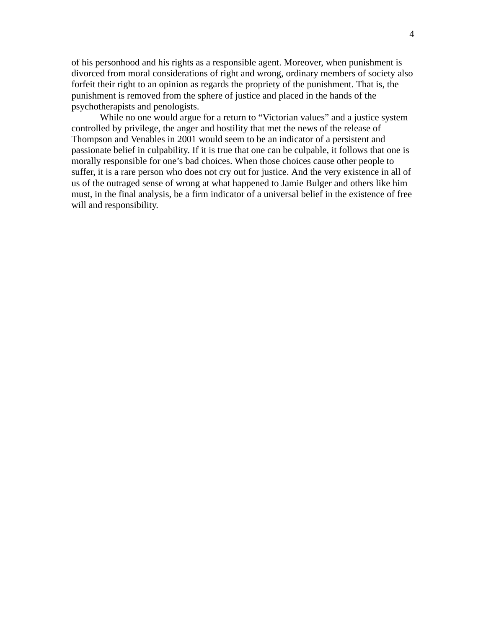of his personhood and his rights as a responsible agent. Moreover, when punishment is divorced from moral considerations of right and wrong, ordinary members of society also forfeit their right to an opinion as regards the propriety of the punishment. That is, the punishment is removed from the sphere of justice and placed in the hands of the psychotherapists and penologists.

While no one would argue for a return to "Victorian values" and a justice system controlled by privilege, the anger and hostility that met the news of the release of Thompson and Venables in 2001 would seem to be an indicator of a persistent and passionate belief in culpability. If it is true that one can be culpable, it follows that one is morally responsible for one's bad choices. When those choices cause other people to suffer, it is a rare person who does not cry out for justice. And the very existence in all of us of the outraged sense of wrong at what happened to Jamie Bulger and others like him must, in the final analysis, be a firm indicator of a universal belief in the existence of free will and responsibility.